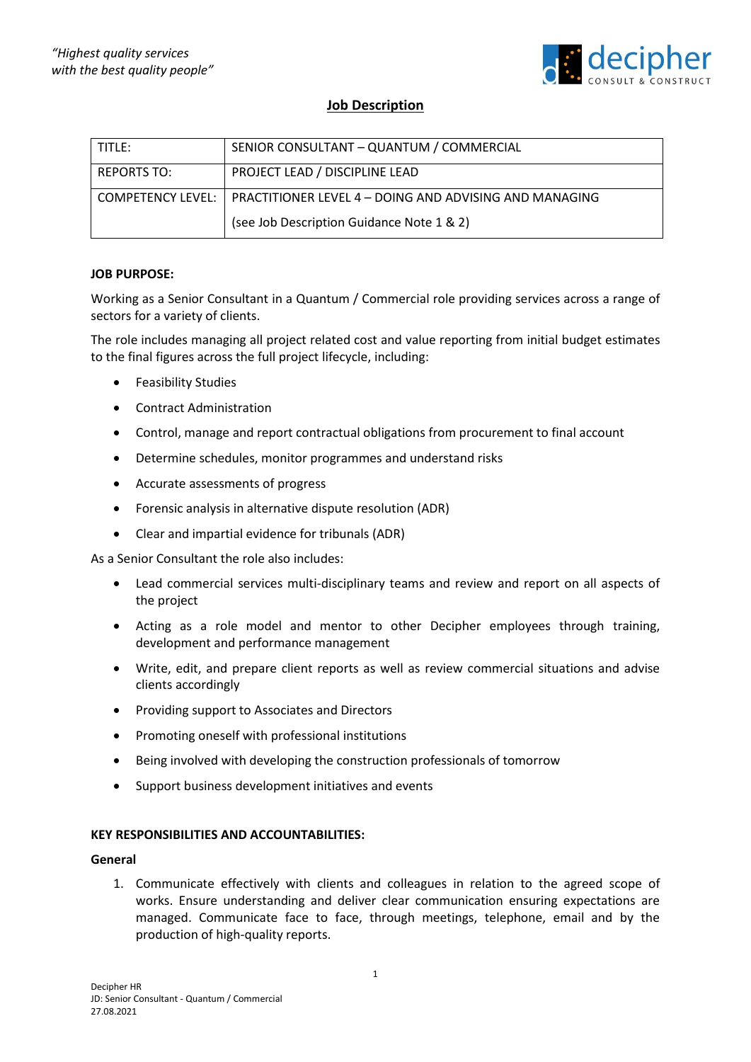

# **Job Description**

| TITLE:             | SENIOR CONSULTANT - QUANTUM / COMMERCIAL                                   |
|--------------------|----------------------------------------------------------------------------|
| <b>REPORTS TO:</b> | PROJECT LEAD / DISCIPLINE LEAD                                             |
|                    | COMPETENCY LEVEL:   PRACTITIONER LEVEL 4 - DOING AND ADVISING AND MANAGING |
|                    | (see Job Description Guidance Note 1 & 2)                                  |

# **JOB PURPOSE:**

Working as a Senior Consultant in a Quantum / Commercial role providing services across a range of sectors for a variety of clients.

The role includes managing all project related cost and value reporting from initial budget estimates to the final figures across the full project lifecycle, including:

- Feasibility Studies
- Contract Administration
- Control, manage and report contractual obligations from procurement to final account
- Determine schedules, monitor programmes and understand risks
- Accurate assessments of progress
- Forensic analysis in alternative dispute resolution (ADR)
- Clear and impartial evidence for tribunals (ADR)

As a Senior Consultant the role also includes:

- Lead commercial services multi-disciplinary teams and review and report on all aspects of the project
- Acting as a role model and mentor to other Decipher employees through training, development and performance management
- Write, edit, and prepare client reports as well as review commercial situations and advise clients accordingly
- Providing support to Associates and Directors
- Promoting oneself with professional institutions
- Being involved with developing the construction professionals of tomorrow
- Support business development initiatives and events

## **KEY RESPONSIBILITIES AND ACCOUNTABILITIES:**

#### **General**

1. Communicate effectively with clients and colleagues in relation to the agreed scope of works. Ensure understanding and deliver clear communication ensuring expectations are managed. Communicate face to face, through meetings, telephone, email and by the production of high-quality reports.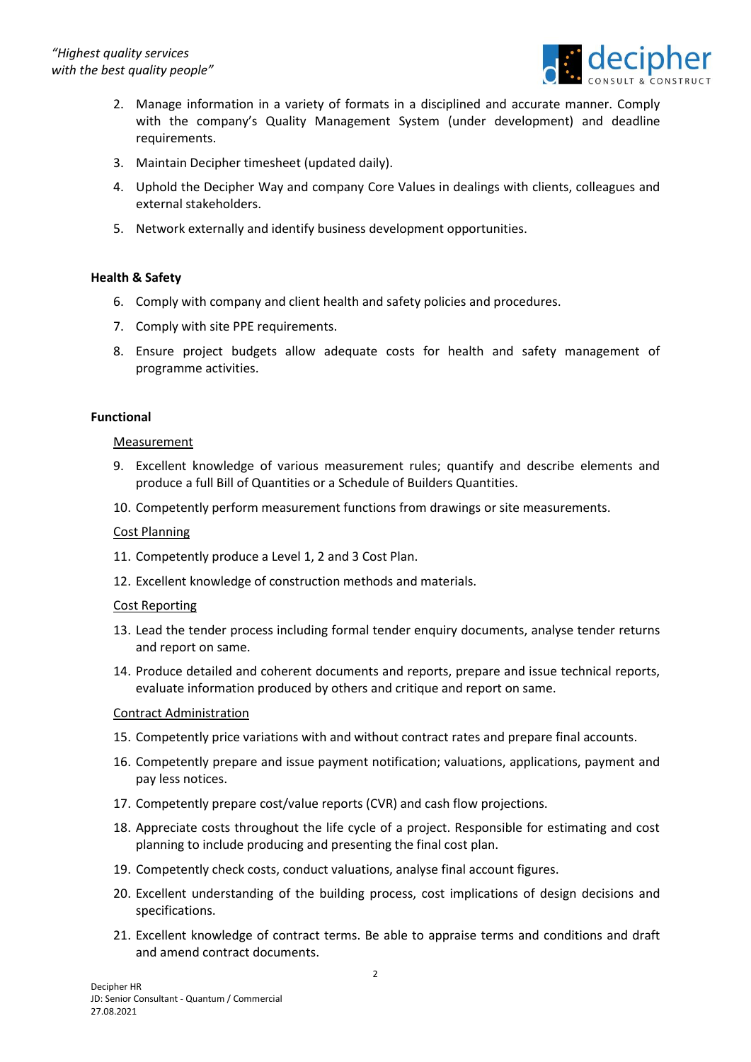

- 2. Manage information in a variety of formats in a disciplined and accurate manner. Comply with the company's Quality Management System (under development) and deadline requirements.
- 3. Maintain Decipher timesheet (updated daily).
- 4. Uphold the Decipher Way and company Core Values in dealings with clients, colleagues and external stakeholders.
- 5. Network externally and identify business development opportunities.

# **Health & Safety**

- 6. Comply with company and client health and safety policies and procedures.
- 7. Comply with site PPE requirements.
- 8. Ensure project budgets allow adequate costs for health and safety management of programme activities.

## **Functional**

#### Measurement

- 9. Excellent knowledge of various measurement rules; quantify and describe elements and produce a full Bill of Quantities or a Schedule of Builders Quantities.
- 10. Competently perform measurement functions from drawings or site measurements.

## Cost Planning

- 11. Competently produce a Level 1, 2 and 3 Cost Plan.
- 12. Excellent knowledge of construction methods and materials.

## Cost Reporting

- 13. Lead the tender process including formal tender enquiry documents, analyse tender returns and report on same.
- 14. Produce detailed and coherent documents and reports, prepare and issue technical reports, evaluate information produced by others and critique and report on same.

## Contract Administration

- 15. Competently price variations with and without contract rates and prepare final accounts.
- 16. Competently prepare and issue payment notification; valuations, applications, payment and pay less notices.
- 17. Competently prepare cost/value reports (CVR) and cash flow projections.
- 18. Appreciate costs throughout the life cycle of a project. Responsible for estimating and cost planning to include producing and presenting the final cost plan.
- 19. Competently check costs, conduct valuations, analyse final account figures.
- 20. Excellent understanding of the building process, cost implications of design decisions and specifications.
- 21. Excellent knowledge of contract terms. Be able to appraise terms and conditions and draft and amend contract documents.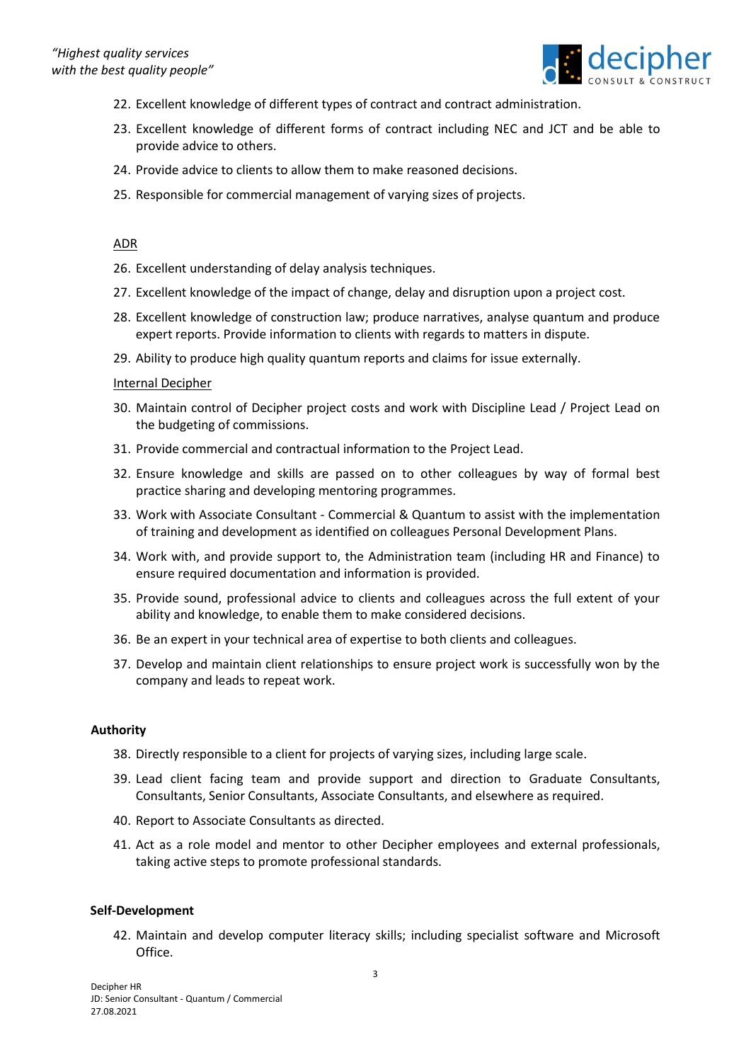

- 22. Excellent knowledge of different types of contract and contract administration.
- 23. Excellent knowledge of different forms of contract including NEC and JCT and be able to provide advice to others.
- 24. Provide advice to clients to allow them to make reasoned decisions.
- 25. Responsible for commercial management of varying sizes of projects.

## ADR

- 26. Excellent understanding of delay analysis techniques.
- 27. Excellent knowledge of the impact of change, delay and disruption upon a project cost.
- 28. Excellent knowledge of construction law; produce narratives, analyse quantum and produce expert reports. Provide information to clients with regards to matters in dispute.
- 29. Ability to produce high quality quantum reports and claims for issue externally.

#### Internal Decipher

- 30. Maintain control of Decipher project costs and work with Discipline Lead / Project Lead on the budgeting of commissions.
- 31. Provide commercial and contractual information to the Project Lead.
- 32. Ensure knowledge and skills are passed on to other colleagues by way of formal best practice sharing and developing mentoring programmes.
- 33. Work with Associate Consultant Commercial & Quantum to assist with the implementation of training and development as identified on colleagues Personal Development Plans.
- 34. Work with, and provide support to, the Administration team (including HR and Finance) to ensure required documentation and information is provided.
- 35. Provide sound, professional advice to clients and colleagues across the full extent of your ability and knowledge, to enable them to make considered decisions.
- 36. Be an expert in your technical area of expertise to both clients and colleagues.
- 37. Develop and maintain client relationships to ensure project work is successfully won by the company and leads to repeat work.

## **Authority**

- 38. Directly responsible to a client for projects of varying sizes, including large scale.
- 39. Lead client facing team and provide support and direction to Graduate Consultants, Consultants, Senior Consultants, Associate Consultants, and elsewhere as required.
- 40. Report to Associate Consultants as directed.
- 41. Act as a role model and mentor to other Decipher employees and external professionals, taking active steps to promote professional standards.

#### **Self-Development**

42. Maintain and develop computer literacy skills; including specialist software and Microsoft Office.